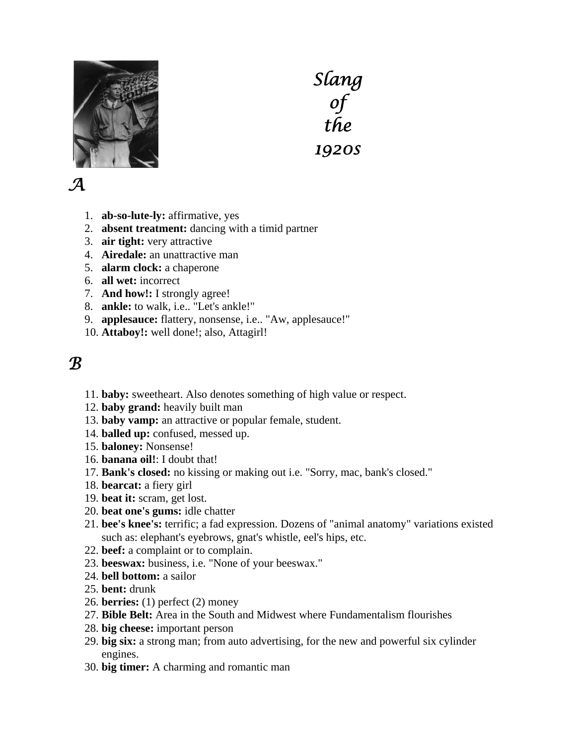

*Slang of the 1920s*

## *A*

- 1. **ab-so-lute-ly:** affirmative, yes
- 2. **absent treatment:** dancing with a timid partner
- 3. **air tight:** very attractive
- 4. **Airedale:** an unattractive man
- 5. **alarm clock:** a chaperone
- 6. **all wet:** incorrect
- 7. **And how!:** I strongly agree!
- 8. **ankle:** to walk, i.e.. "Let's ankle!"
- 9. **applesauce:** flattery, nonsense, i.e.. "Aw, applesauce!"
- 10. **Attaboy!:** well done!; also, Attagirl!

#### *B*

- 11. **baby:** sweetheart. Also denotes something of high value or respect.
- 12. **baby grand:** heavily built man
- 13. **baby vamp:** an attractive or popular female, student.
- 14. **balled up:** confused, messed up.
- 15. **baloney:** Nonsense!
- 16. **banana oil!**: I doubt that!
- 17. **Bank's closed:** no kissing or making out i.e. "Sorry, mac, bank's closed."
- 18. **bearcat:** a fiery girl
- 19. **beat it:** scram, get lost.
- 20. **beat one's gums:** idle chatter
- 21. **bee's knee's:** terrific; a fad expression. Dozens of "animal anatomy" variations existed such as: elephant's eyebrows, gnat's whistle, eel's hips, etc.
- 22. **beef:** a complaint or to complain.
- 23. **beeswax:** business, i.e. "None of your beeswax."
- 24. **bell bottom:** a sailor
- 25. **bent:** drunk
- 26. **berries:** (1) perfect (2) money
- 27. **Bible Belt:** Area in the South and Midwest where Fundamentalism flourishes
- 28. **big cheese:** important person
- 29. **big six:** a strong man; from auto advertising, for the new and powerful six cylinder engines.
- 30. **big timer:** A charming and romantic man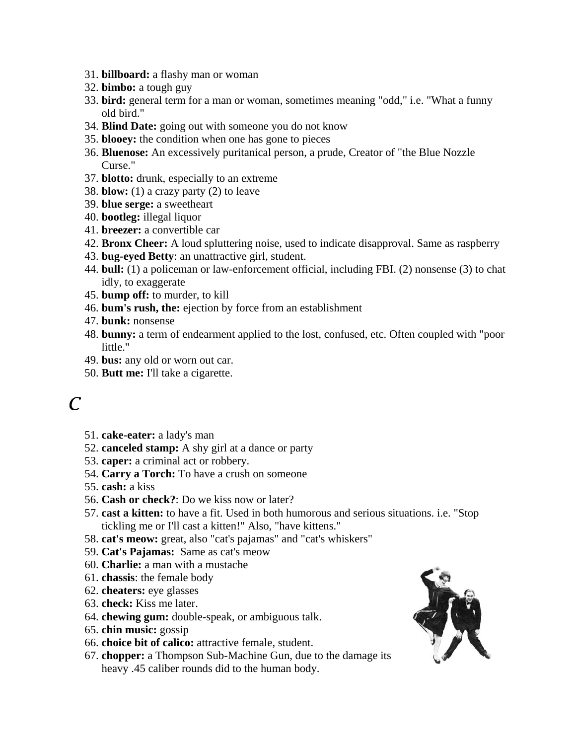- 31. **billboard:** a flashy man or woman
- 32. **bimbo:** a tough guy
- 33. **bird:** general term for a man or woman, sometimes meaning "odd," i.e. "What a funny old bird."
- 34. **Blind Date:** going out with someone you do not know
- 35. **blooey:** the condition when one has gone to pieces
- 36. **Bluenose:** An excessively puritanical person, a prude, Creator of "the Blue Nozzle Curse."
- 37. **blotto:** drunk, especially to an extreme
- 38. **blow:** (1) a crazy party (2) to leave
- 39. **blue serge:** a sweetheart
- 40. **bootleg:** illegal liquor
- 41. **breezer:** a convertible car
- 42. **Bronx Cheer:** A loud spluttering noise, used to indicate disapproval. Same as raspberry
- 43. **bug-eyed Betty**: an unattractive girl, student.
- 44. **bull:** (1) a policeman or law-enforcement official, including FBI. (2) nonsense (3) to chat idly, to exaggerate
- 45. **bump off:** to murder, to kill
- 46. **bum's rush, the:** ejection by force from an establishment
- 47. **bunk:** nonsense
- 48. **bunny:** a term of endearment applied to the lost, confused, etc. Often coupled with "poor little."
- 49. **bus:** any old or worn out car.
- 50. **Butt me:** I'll take a cigarette.

## *C*

- 51. **cake-eater:** a lady's man
- 52. **canceled stamp:** A shy girl at a dance or party
- 53. **caper:** a criminal act or robbery.
- 54. **Carry a Torch:** To have a crush on someone
- 55. **cash:** a kiss
- 56. **Cash or check?**: Do we kiss now or later?
- 57. **cast a kitten:** to have a fit. Used in both humorous and serious situations. i.e. "Stop tickling me or I'll cast a kitten!" Also, "have kittens."
- 58. **cat's meow:** great, also "cat's pajamas" and "cat's whiskers"
- 59. **Cat's Pajamas:** Same as cat's meow
- 60. **Charlie:** a man with a mustache
- 61. **chassis**: the female body
- 62. **cheaters:** eye glasses
- 63. **check:** Kiss me later.
- 64. **chewing gum:** double-speak, or ambiguous talk.
- 65. **chin music:** gossip
- 66. **choice bit of calico:** attractive female, student.
- 67. **chopper:** a Thompson Sub-Machine Gun, due to the damage its heavy .45 caliber rounds did to the human body.

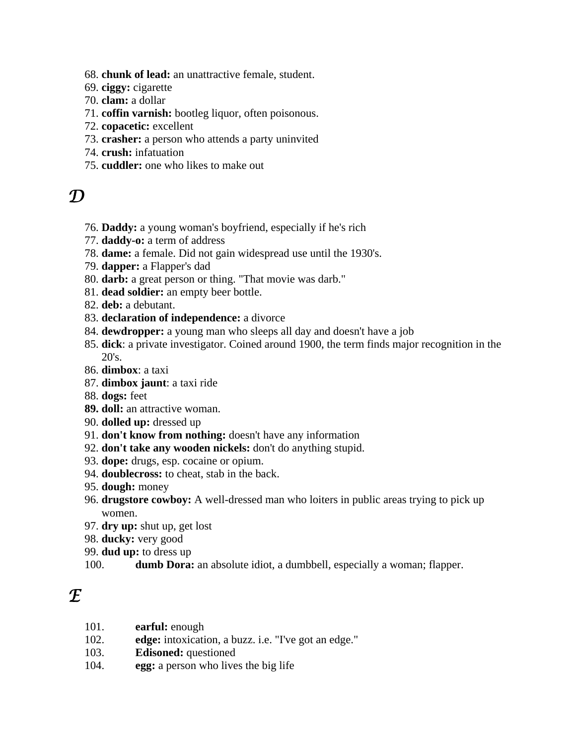- 68. **chunk of lead:** an unattractive female, student.
- 69. **ciggy:** cigarette
- 70. **clam:** a dollar
- 71. **coffin varnish:** bootleg liquor, often poisonous.
- 72. **copacetic:** excellent
- 73. **crasher:** a person who attends a party uninvited
- 74. **crush:** infatuation
- 75. **cuddler:** one who likes to make out

#### *D*

- 76. **Daddy:** a young woman's boyfriend, especially if he's rich
- 77. **daddy-o:** a term of address
- 78. **dame:** a female. Did not gain widespread use until the 1930's.
- 79. **dapper:** a Flapper's dad
- 80. **darb:** a great person or thing. "That movie was darb."
- 81. **dead soldier:** an empty beer bottle.
- 82. **deb:** a debutant.
- 83. **declaration of independence:** a divorce
- 84. **dewdropper:** a young man who sleeps all day and doesn't have a job
- 85. **dick**: a private investigator. Coined around 1900, the term finds major recognition in the 20's.
- 86. **dimbox**: a taxi
- 87. **dimbox jaunt**: a taxi ride
- 88. **dogs:** feet
- **89. doll:** an attractive woman.
- 90. **dolled up:** dressed up
- 91. **don't know from nothing:** doesn't have any information
- 92. **don't take any wooden nickels:** don't do anything stupid.
- 93. **dope:** drugs, esp. cocaine or opium.
- 94. **doublecross:** to cheat, stab in the back.
- 95. **dough:** money
- 96. **drugstore cowboy:** A well-dressed man who loiters in public areas trying to pick up women.
- 97. **dry up:** shut up, get lost
- 98. **ducky:** very good
- 99. **dud up:** to dress up
- 100. **dumb Dora:** an absolute idiot, a dumbbell, especially a woman; flapper.

## *E*

- 101. **earful:** enough
- 102. **edge:** intoxication, a buzz. i.e. "I've got an edge."
- 103. **Edisoned:** questioned
- 104. **egg:** a person who lives the big life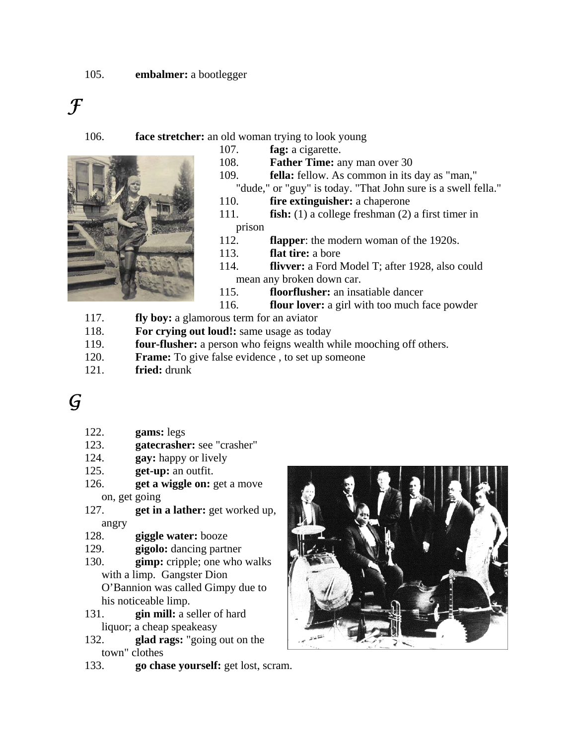# *F*

106. **face stretcher:** an old woman trying to look young

- 107. **fag:** a cigarette.
- 108. **Father Time:** any man over 30
- 109. **fella:** fellow. As common in its day as "man,"
- "dude," or "guy" is today. "That John sure is a swell fella."
- 110. **fire extinguisher:** a chaperone
- 111. **fish:** (1) a college freshman (2) a first timer in prison
- 112. **flapper**: the modern woman of the 1920s.
- 113. **flat tire:** a bore
- 114. **flivver:** a Ford Model T; after 1928, also could mean any broken down car.
- 115. **floorflusher:** an insatiable dancer
- 116. **flour lover:** a girl with too much face powder
- 117. **fly boy:** a glamorous term for an aviator
- 118. **For crying out loud!:** same usage as today
- 119. **four-flusher:** a person who feigns wealth while mooching off others.
- 120. **Frame:** To give false evidence , to set up someone
- 121. **fried:** drunk
- *G*
- 122. **gams:** legs
- 123. **gatecrasher:** see "crasher"
- 124. **gay:** happy or lively
- 125. **get-up:** an outfit.
- 126. **get a wiggle on:** get a move on, get going
- 127. **get in a lather:** get worked up, angry
- 128. **giggle water:** booze
- 129. **gigolo:** dancing partner
- 130. **gimp:** cripple; one who walks with a limp. Gangster Dion O'Bannion was called Gimpy due to his noticeable limp.
- 131. **gin mill:** a seller of hard liquor; a cheap speakeasy
- 132. **glad rags:** "going out on the town" clothes
- 133. **go chase yourself:** get lost, scram.

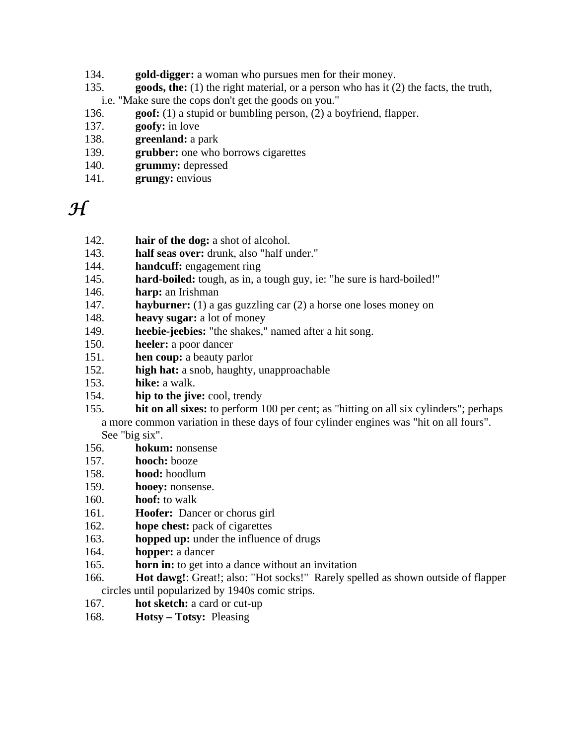- 134. **gold-digger:** a woman who pursues men for their money.
- 135. **goods, the:** (1) the right material, or a person who has it (2) the facts, the truth,
- i.e. "Make sure the cops don't get the goods on you."
- 136. **goof:** (1) a stupid or bumbling person, (2) a boyfriend, flapper.
- 137. **goofy:** in love
- 138. **greenland:** a park
- 139. **grubber:** one who borrows cigarettes
- 140. **grummy:** depressed
- 141. **grungy:** envious

*H* 

- 142. **hair of the dog:** a shot of alcohol.
- 143. **half seas over:** drunk, also "half under."
- 144. **handcuff:** engagement ring
- 145. **hard-boiled:** tough, as in, a tough guy, ie: "he sure is hard-boiled!"
- 146. **harp:** an Irishman
- 147. **hayburner:** (1) a gas guzzling car (2) a horse one loses money on
- 148. **heavy sugar:** a lot of money
- 149. **heebie-jeebies:** "the shakes," named after a hit song.
- 150. **heeler:** a poor dancer
- 151. **hen coup:** a beauty parlor
- 152. **high hat:** a snob, haughty, unapproachable
- 153. **hike:** a walk.
- 154. **hip to the jive:** cool, trendy
- 155. **hit on all sixes:** to perform 100 per cent; as "hitting on all six cylinders"; perhaps a more common variation in these days of four cylinder engines was "hit on all fours". See "big six".
- 156. **hokum:** nonsense
- 157. **hooch:** booze
- 158. **hood:** hoodlum
- 159. **hooey:** nonsense.
- 160. **hoof:** to walk
- 161. **Hoofer:** Dancer or chorus girl
- 162. **hope chest:** pack of cigarettes
- 163. **hopped up:** under the influence of drugs
- 164. **hopper:** a dancer
- 165. **horn in:** to get into a dance without an invitation
- 166. **Hot dawg!**: Great!; also: "Hot socks!" Rarely spelled as shown outside of flapper circles until popularized by 1940s comic strips.
- 167. **hot sketch:** a card or cut-up
- 168. **Hotsy Totsy:** Pleasing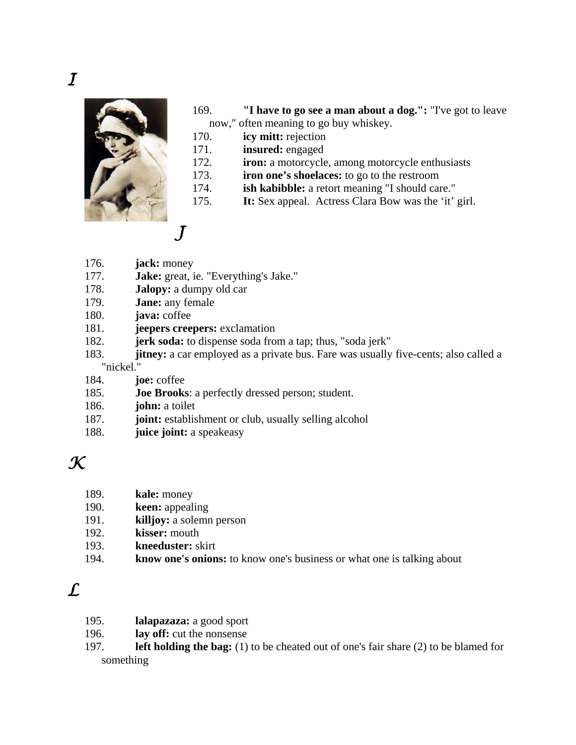

- 169. **"I have to go see a man about a dog.":** "I've got to leave now," often meaning to go buy whiskey.
- 170. **icy mitt:** rejection
- 171. **insured:** engaged
- 172. **iron:** a motorcycle, among motorcycle enthusiasts
- 173. **iron one's shoelaces:** to go to the restroom
- 174. **ish kabibble:** a retort meaning "I should care."
- 175. **It:** Sex appeal. Actress Clara Bow was the 'it' girl.
- 176. **jack:** money
- 177. **Jake:** great, ie. "Everything's Jake."
- 178. **Jalopy:** a dumpy old car
- 179. **Jane:** any female
- 180. **java:** coffee
- 181. **jeepers creepers:** exclamation
- 182. **jerk soda:** to dispense soda from a tap; thus, "soda jerk"
- 183. **jitney:** a car employed as a private bus. Fare was usually five-cents; also called a

"nickel."

- 184. **joe:** coffee
- 185. **Joe Brooks**: a perfectly dressed person; student.
- 186. **john:** a toilet
- 187. **joint:** establishment or club, usually selling alcohol
- 188. **juice joint:** a speakeasy

*K* 

- 189. **kale:** money
- 190. **keen:** appealing
- 191. **killjoy:** a solemn person
- 192. **kisser:** mouth
- 193. **kneeduster:** skirt
- 194. **know one's onions:** to know one's business or what one is talking about

## *L*

- 195. **lalapazaza:** a good sport
- 196. **lay off:** cut the nonsense
- 197. **left holding the bag:** (1) to be cheated out of one's fair share (2) to be blamed for something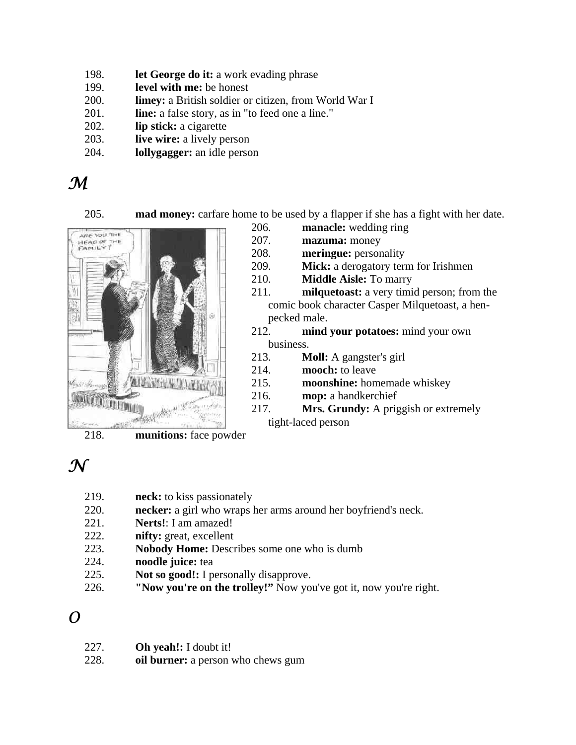- 198. **let George do it:** a work evading phrase
- 199. **level with me:** be honest
- 200. **limey:** a British soldier or citizen, from World War I
- 201. **line:** a false story, as in "to feed one a line."
- 202. **lip stick:** a cigarette
- 203. **live wire:** a lively person
- 204. **lollygagger:** an idle person

## *M*

205. **mad money:** carfare home to be used by a flapper if she has a fight with her date.



- 206. **manacle:** wedding ring
	- 207. **mazuma:** money
	- 208. **meringue:** personality
	- 209. **Mick:** a derogatory term for Irishmen
	- 210. **Middle Aisle:** To marry

211. **milquetoast:** a very timid person; from the comic book character Casper Milquetoast, a henpecked male.

- 212. **mind your potatoes:** mind your own business.
- 213. **Moll:** A gangster's girl
- 214. **mooch:** to leave
- 215. **moonshine:** homemade whiskey
- 216. **mop:** a handkerchief
- 217. **Mrs. Grundy:** A priggish or extremely tight-laced person

218. **munitions:** face powder

## $\bm{\mathcal{N}}$

- 219. **neck:** to kiss passionately
- 220. **necker:** a girl who wraps her arms around her boyfriend's neck.
- 221. **Nerts!**: I am amazed!
- 222. **nifty:** great, excellent
- 223. **Nobody Home:** Describes some one who is dumb
- 224. **noodle juice:** tea
- 225. **Not so good!:** I personally disapprove.
- 226. **"Now you're on the trolley!"** Now you've got it, now you're right.

#### *O*

227. **Oh yeah!:** I doubt it! 228. **oil burner:** a person who chews gum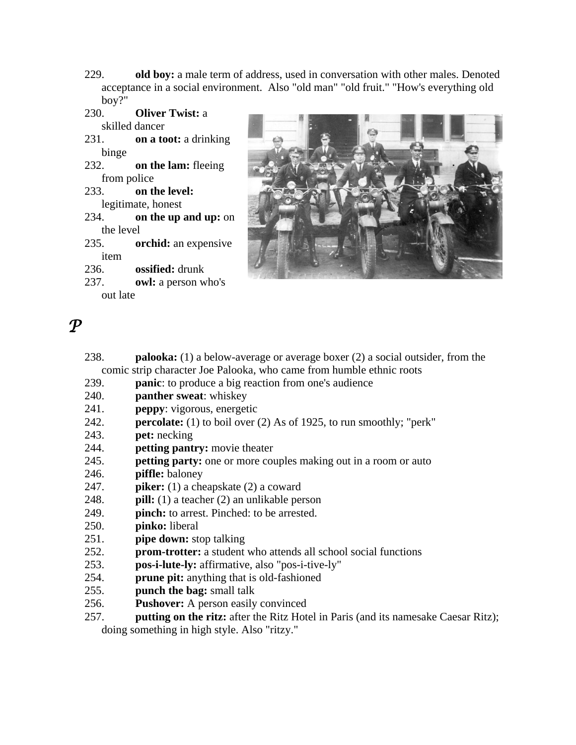- 229. **old boy:** a male term of address, used in conversation with other males. Denoted acceptance in a social environment. Also "old man" "old fruit." "How's everything old boy?"
- 230. **Oliver Twist:** a skilled dancer
- 231. **on a toot:** a drinking binge
- 232. **on the lam:** fleeing from police
- 233. **on the level:** legitimate, honest
- 234. **on the up and up:** on the level
- 235. **orchid:** an expensive item
- 236. **ossified:** drunk
- 237. **owl:** a person who's out late



- *P* 
	- 238. **palooka:** (1) a below-average or average boxer (2) a social outsider, from the comic strip character Joe Palooka, who came from humble ethnic roots
	- 239. **panic**: to produce a big reaction from one's audience
	- 240. **panther sweat**: whiskey
	- 241. **peppy**: vigorous, energetic
	- 242. **percolate:** (1) to boil over (2) As of 1925, to run smoothly; "perk"
	- 243. **pet:** necking
	- 244. **petting pantry:** movie theater
	- 245. **petting party:** one or more couples making out in a room or auto
	- 246. **piffle:** baloney
	- 247. **piker:** (1) a cheapskate (2) a coward
	- 248. **pill:** (1) a teacher (2) an unlikable person
	- 249. **pinch:** to arrest. Pinched: to be arrested.
	- 250. **pinko:** liberal
	- 251. **pipe down:** stop talking
	- 252. **prom-trotter:** a student who attends all school social functions
	- 253. **pos-i-lute-ly:** affirmative, also "pos-i-tive-ly"
	- 254. **prune pit:** anything that is old-fashioned
	- 255. **punch the bag:** small talk
	- 256. **Pushover:** A person easily convinced
	- 257. **putting on the ritz:** after the Ritz Hotel in Paris (and its namesake Caesar Ritz); doing something in high style. Also "ritzy."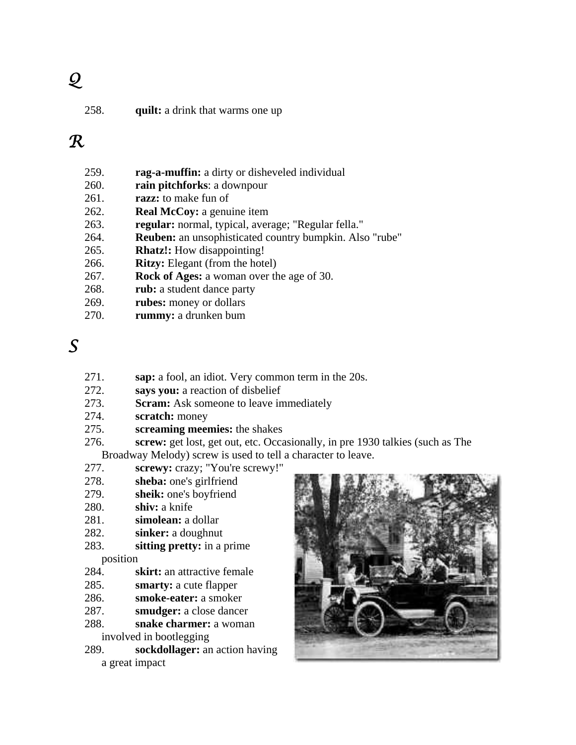# *Q*

258. **quilt:** a drink that warms one up

#### *R*

- 259. **rag-a-muffin:** a dirty or disheveled individual
- 260. **rain pitchforks**: a downpour
- 261. **razz:** to make fun of
- 262. **Real McCoy:** a genuine item
- 263. **regular:** normal, typical, average; "Regular fella."
- 264. **Reuben:** an unsophisticated country bumpkin. Also "rube"
- 265. **Rhatz!:** How disappointing!
- 266. **Ritzy:** Elegant (from the hotel)
- 267. **Rock of Ages:** a woman over the age of 30.
- 268. **rub:** a student dance party
- 269. **rubes:** money or dollars
- 270. **rummy:** a drunken bum

## *S*

- 271. **sap:** a fool, an idiot. Very common term in the 20s.
- 272. **says you:** a reaction of disbelief
- 273. **Scram:** Ask someone to leave immediately
- 274. **scratch:** money
- 275. **screaming meemies:** the shakes
- 276. **screw:** get lost, get out, etc. Occasionally, in pre 1930 talkies (such as The Broadway Melody) screw is used to tell a character to leave.
- 277. **screwy:** crazy; "You're screwy!"
- 278. **sheba:** one's girlfriend
- 279. **sheik:** one's boyfriend
- 280. **shiv:** a knife
- 281. **simolean:** a dollar
- 282. **sinker:** a doughnut
- 283. **sitting pretty:** in a prime position
- 284. **skirt:** an attractive female
- 285. **smarty:** a cute flapper
- 286. **smoke-eater:** a smoker
- 287. **smudger:** a close dancer
- 288. **snake charmer:** a woman involved in bootlegging
- 289. **sockdollager:** an action having a great impact

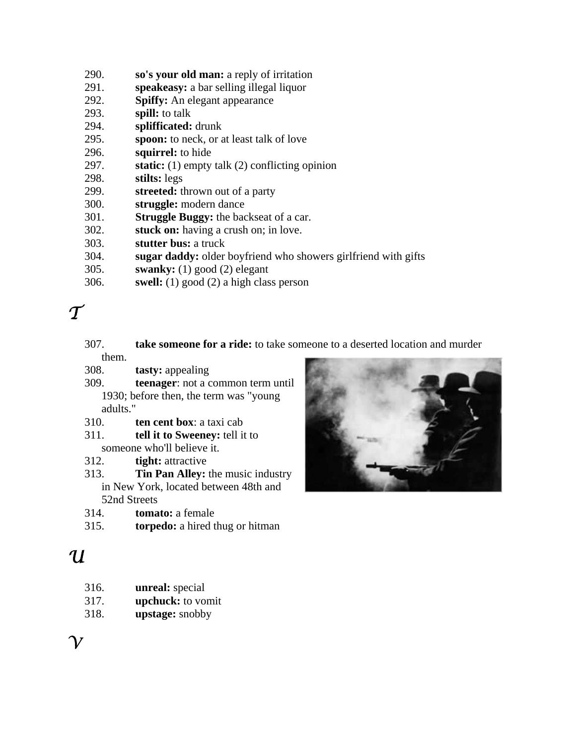- 290. **so's your old man:** a reply of irritation
- 291. **speakeasy:** a bar selling illegal liquor
- 292. **Spiffy:** An elegant appearance
- 293. **spill:** to talk
- 294. **splifficated:** drunk
- 295. **spoon:** to neck, or at least talk of love
- 296. **squirrel:** to hide
- 297. **static:** (1) empty talk (2) conflicting opinion
- 298. **stilts:** legs
- 299. **streeted:** thrown out of a party
- 300. **struggle:** modern dance
- 301. **Struggle Buggy:** the backseat of a car.
- 302. **stuck on:** having a crush on; in love.
- 303. **stutter bus:** a truck
- 304. **sugar daddy:** older boyfriend who showers girlfriend with gifts
- 305. **swanky:** (1) good (2) elegant
- 306. **swell:** (1) good (2) a high class person

## $\tau$

- 307. **take someone for a ride:** to take someone to a deserted location and murder them.
- 308. **tasty:** appealing
- 309. **teenager**: not a common term until 1930; before then, the term was "young adults."
- 310. **ten cent box**: a taxi cab
- 311. **tell it to Sweeney:** tell it to someone who'll believe it.
- 312. **tight:** attractive
- 313. **Tin Pan Alley:** the music industry in New York, located between 48th and 52nd Streets
- 314. **tomato:** a female
- 315. **torpedo:** a hired thug or hitman



## *U*

- 316. **unreal:** special
- 317. **upchuck:** to vomit
- 318. **upstage:** snobby

 $\gamma$